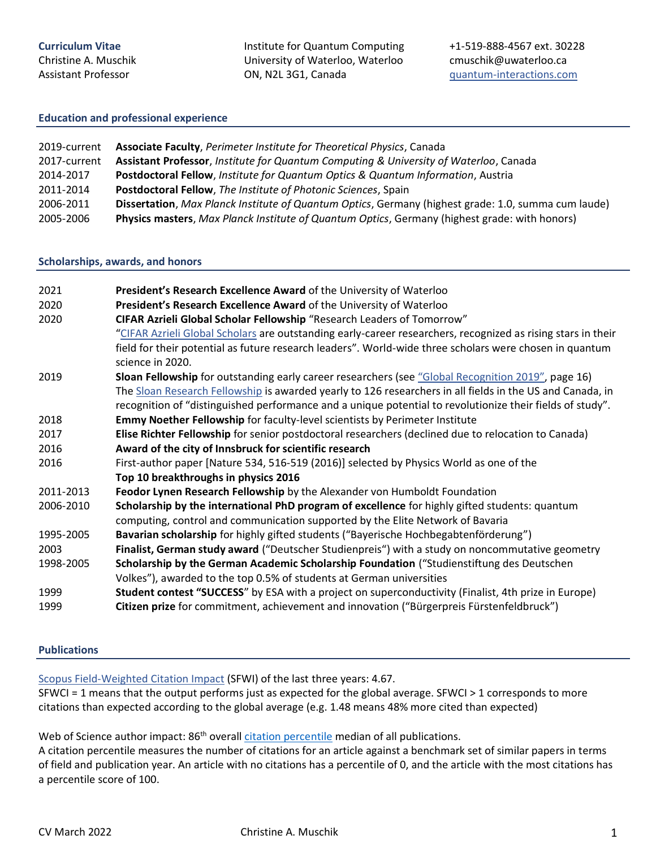Christine A. Muschik Assistant Professor

Institute for Quantum Computing University of Waterloo, Waterloo ON, N2L 3G1, Canada

### **Education and professional experience**

| 2019-current | Associate Faculty, Perimeter Institute for Theoretical Physics, Canada                              |
|--------------|-----------------------------------------------------------------------------------------------------|
| 2017-current | Assistant Professor, Institute for Quantum Computing & University of Waterloo, Canada               |
| 2014-2017    | Postdoctoral Fellow, Institute for Quantum Optics & Quantum Information, Austria                    |
| 2011-2014    | Postdoctoral Fellow, The Institute of Photonic Sciences, Spain                                      |
| 2006-2011    | Dissertation, Max Planck Institute of Quantum Optics, Germany (highest grade: 1.0, summa cum laude) |
| 2005-2006    | Physics masters, Max Planck Institute of Quantum Optics, Germany (highest grade: with honors)       |

### **Scholarships, awards, and honors**

| 2021<br>2020<br>2020 | President's Research Excellence Award of the University of Waterloo<br>President's Research Excellence Award of the University of Waterloo<br>CIFAR Azrieli Global Scholar Fellowship "Research Leaders of Tomorrow"                                                                                                         |
|----------------------|------------------------------------------------------------------------------------------------------------------------------------------------------------------------------------------------------------------------------------------------------------------------------------------------------------------------------|
|                      | "CIFAR Azrieli Global Scholars are outstanding early-career researchers, recognized as rising stars in their<br>field for their potential as future research leaders". World-wide three scholars were chosen in quantum<br>science in 2020.                                                                                  |
| 2019                 | Sloan Fellowship for outstanding early career researchers (see "Global Recognition 2019", page 16)<br>The Sloan Research Fellowship is awarded yearly to 126 researchers in all fields in the US and Canada, in<br>recognition of "distinguished performance and a unique potential to revolutionize their fields of study". |
| 2018                 | Emmy Noether Fellowship for faculty-level scientists by Perimeter Institute                                                                                                                                                                                                                                                  |
| 2017                 | Elise Richter Fellowship for senior postdoctoral researchers (declined due to relocation to Canada)                                                                                                                                                                                                                          |
| 2016                 | Award of the city of Innsbruck for scientific research                                                                                                                                                                                                                                                                       |
| 2016                 | First-author paper [Nature 534, 516-519 (2016)] selected by Physics World as one of the                                                                                                                                                                                                                                      |
|                      | Top 10 breakthroughs in physics 2016                                                                                                                                                                                                                                                                                         |
| 2011-2013            | Feodor Lynen Research Fellowship by the Alexander von Humboldt Foundation                                                                                                                                                                                                                                                    |
| 2006-2010            | Scholarship by the international PhD program of excellence for highly gifted students: quantum<br>computing, control and communication supported by the Elite Network of Bavaria                                                                                                                                             |
| 1995-2005            | Bavarian scholarship for highly gifted students ("Bayerische Hochbegabtenförderung")                                                                                                                                                                                                                                         |
| 2003                 | Finalist, German study award ("Deutscher Studienpreis") with a study on noncommutative geometry                                                                                                                                                                                                                              |
| 1998-2005            | Scholarship by the German Academic Scholarship Foundation ("Studienstiftung des Deutschen<br>Volkes"), awarded to the top 0.5% of students at German universities                                                                                                                                                            |
| 1999                 | Student contest "SUCCESS" by ESA with a project on superconductivity (Finalist, 4th prize in Europe)                                                                                                                                                                                                                         |
| 1999                 | Citizen prize for commitment, achievement and innovation ("Bürgerpreis Fürstenfeldbruck")                                                                                                                                                                                                                                    |

### **Publications**

[Scopus Field-Weighted Citation Impact](https://service.elsevier.com/app/answers/detail/a_id/14894/supporthub/scopus/~/what-is-field-weighted-citation-impact-%28fwci%29%3F/) (SFWI) of the last three years: 4.67.

SFWCI = 1 means that the output performs just as expected for the global average. SFWCI > 1 corresponds to more citations than expected according to the global average (e.g. 1.48 means 48% more cited than expected)

Web of Science author impact: 86<sup>th</sup> overall [citation percentile](https://clarivate.libguides.com/incites_ba/alpha-indicators) median of all publications.

A citation percentile measures the number of citations for an article against a benchmark set of similar papers in terms of field and publication year. An article with no citations has a percentile of 0, and the article with the most citations has a percentile score of 100.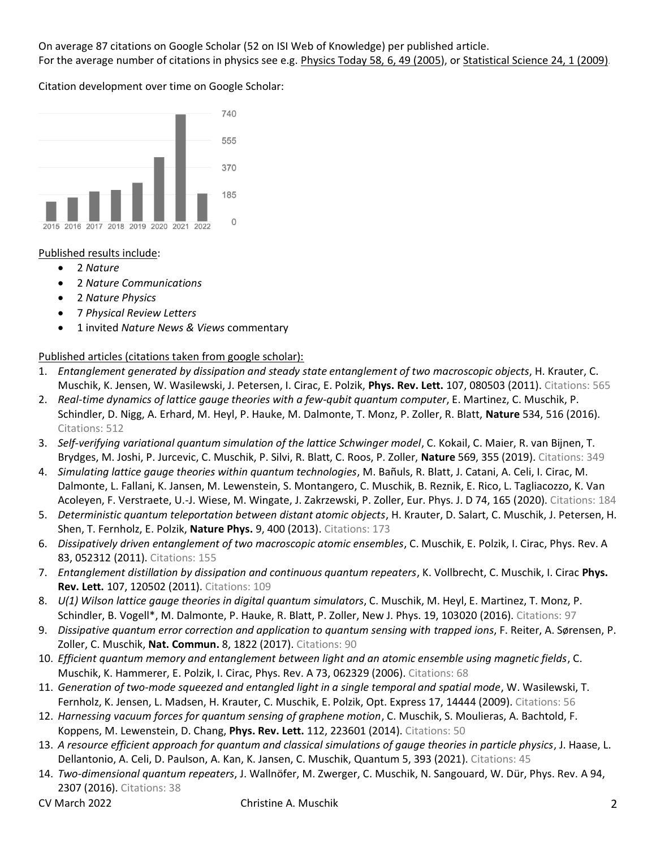On average 87 citations on Google Scholar (52 on ISI Web of Knowledge) per published article. For the average number of citations in physics see e.g. [Physics Today 58, 6, 49 \(2005\)](https://physicstoday.scitation.org/doi/full/10.1063/1.1996475), or [Statistical Science](https://arxiv.org/abs/0910.3529) 24, 1 (2009).

Citation development over time on Google Scholar:



## Published results include:

- 2 *Nature*
- 2 *Nature Communications*
- 2 *Nature Physics*
- 7 *Physical Review Letters*
- 1 invited *Nature News & Views* commentary

Published articles (citations taken from google scholar):

- 1. *Entanglement generated by dissipation and steady state entanglement of two macroscopic objects*, H. Krauter, C. Muschik, K. Jensen, W. Wasilewski, J. Petersen, I. Cirac, E. Polzik, **Phys. Rev. Lett.** 107, 080503 (2011). Citations: 565
- 2. *Real-time dynamics of lattice gauge theories with a few-qubit quantum computer*, E. Martinez, C. Muschik, P. Schindler, D. Nigg, A. Erhard, M. Heyl, P. Hauke, M. Dalmonte, T. Monz, P. Zoller, R. Blatt, **Nature** 534, 516 (2016). Citations: 512
- 3. *Self-verifying variational quantum simulation of the lattice Schwinger model*, C. Kokail, C. Maier, R. van Bijnen, T. Brydges, M. Joshi, P. Jurcevic, C. Muschik, P. Silvi, R. Blatt, C. Roos, P. Zoller, **Nature** 569, 355 (2019). Citations: 349
- 4. *Simulating lattice gauge theories within quantum technologies*, M. Bañuls, R. Blatt, J. Catani, A. Celi, I. Cirac, M. Dalmonte, L. Fallani, K. Jansen, M. Lewenstein, S. Montangero, C. Muschik, B. Reznik, E. Rico, L. Tagliacozzo, K. Van Acoleyen, F. Verstraete, U.-J. Wiese, M. Wingate, J. Zakrzewski, P. Zoller, Eur. Phys. J. D 74, 165 (2020). Citations: 184
- 5. *Deterministic quantum teleportation between distant atomic objects*, H. Krauter, D. Salart, C. Muschik, J. Petersen, H. Shen, T. Fernholz, E. Polzik, **Nature Phys.** 9, 400 (2013). Citations: 173
- 6. *Dissipatively driven entanglement of two macroscopic atomic ensembles*, C. Muschik, E. Polzik, I. Cirac, Phys. Rev. A 83, 052312 (2011). Citations: 155
- 7. *Entanglement distillation by dissipation and continuous quantum repeaters*, K. Vollbrecht, C. Muschik, I. Cirac **Phys. Rev. Lett.** 107, 120502 (2011). Citations: 109
- 8. *U(1) Wilson lattice gauge theories in digital quantum simulators*, C. Muschik, M. Heyl, E. Martinez, T. Monz, P. Schindler, B. Vogell\*, M. Dalmonte, P. Hauke, R. Blatt, P. Zoller, New J. Phys. 19, 103020 (2016). Citations: 97
- 9. *Dissipative quantum error correction and application to quantum sensing with trapped ions*, F. Reiter, A. Sørensen, P. Zoller, C. Muschik, **Nat. Commun.** 8, 1822 (2017). Citations: 90
- 10. *Efficient quantum memory and entanglement between light and an atomic ensemble using magnetic fields*, C. Muschik, K. Hammerer, E. Polzik, I. Cirac, Phys. Rev. A 73, 062329 (2006). Citations: 68
- 11. *Generation of two-mode squeezed and entangled light in a single temporal and spatial mode*, W. Wasilewski, T. Fernholz, K. Jensen, L. Madsen, H. Krauter, C. Muschik, E. Polzik, Opt. Express 17, 14444 (2009). Citations: 56
- 12. *Harnessing vacuum forces for quantum sensing of graphene motion*, C. Muschik, S. Moulieras, A. Bachtold, F. Koppens, M. Lewenstein, D. Chang, **Phys. Rev. Lett.** 112, 223601 (2014). Citations: 50
- 13. *A resource efficient approach for quantum and classical simulations of gauge theories in particle physics*, J. Haase, L. Dellantonio, A. Celi, D. Paulson, A. Kan, K. Jansen, C. Muschik, Quantum 5, 393 (2021). Citations: 45
- 14. *Two-dimensional quantum repeaters*, J. Wallnöfer, M. Zwerger, C. Muschik, N. Sangouard, W. Dür, Phys. Rev. A 94, 2307 (2016). Citations: 38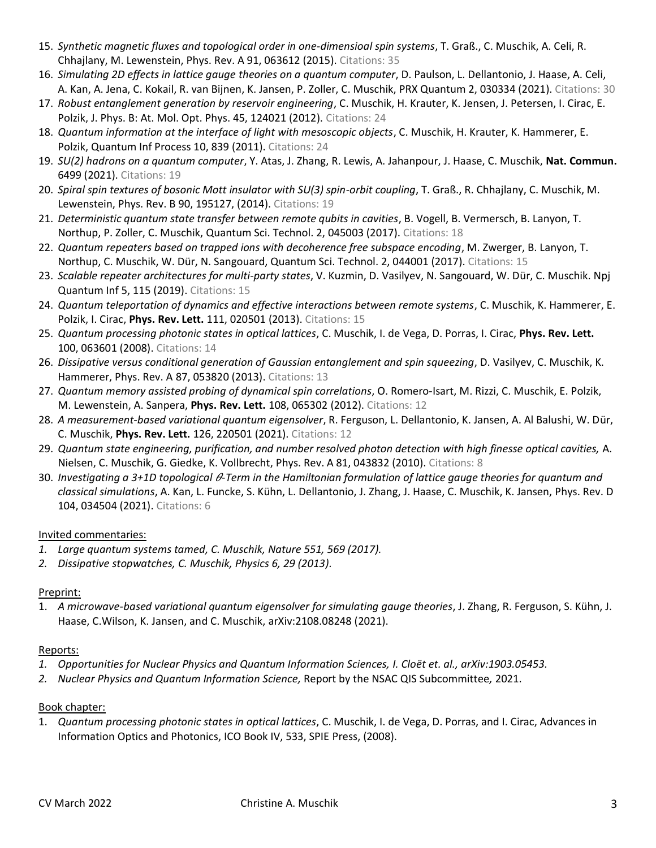- 15. *Synthetic magnetic fluxes and topological order in one-dimensioal spin systems*, T. Graß., C. Muschik, A. Celi, R. Chhajlany, M. Lewenstein, Phys. Rev. A 91, 063612 (2015). Citations: 35
- 16. *Simulating 2D effects in lattice gauge theories on a quantum computer*, D. Paulson, L. Dellantonio, J. Haase, A. Celi, A. Kan, A. Jena, C. Kokail, R. van Bijnen, K. Jansen, P. Zoller, C. Muschik, PRX Quantum 2, 030334 (2021). Citations: 30
- 17. *Robust entanglement generation by reservoir engineering*, C. Muschik, H. Krauter, K. Jensen, J. Petersen, I. Cirac, E. Polzik, J. Phys. B: At. Mol. Opt. Phys. 45, 124021 (2012). Citations: 24
- 18. *Quantum information at the interface of light with mesoscopic objects*, C. Muschik, H. Krauter, K. Hammerer, E. Polzik, Quantum Inf Process 10, 839 (2011). Citations: 24
- 19. *SU(2) hadrons on a quantum computer*, Y. Atas, J. Zhang, R. Lewis, A. Jahanpour, J. Haase, C. Muschik, **Nat. Commun.** 6499 (2021). Citations: 19
- 20. *Spiral spin textures of bosonic Mott insulator with SU(3) spin-orbit coupling*, T. Graß., R. Chhajlany, C. Muschik, M. Lewenstein, Phys. Rev. B 90, 195127, (2014). Citations: 19
- 21. *Deterministic quantum state transfer between remote qubits in cavities*, B. Vogell, B. Vermersch, B. Lanyon, T. Northup, P. Zoller, C. Muschik, Quantum Sci. Technol. 2, 045003 (2017). Citations: 18
- 22. *Quantum repeaters based on trapped ions with decoherence free subspace encoding*, M. Zwerger, B. Lanyon, T. Northup, C. Muschik, W. Dür, N. Sangouard, Quantum Sci. Technol. 2, 044001 (2017). Citations: 15
- 23. *Scalable repeater architectures for multi-party states*, V. Kuzmin, D. Vasilyev, N. Sangouard, W. Dür, C. Muschik. Npj Quantum Inf 5, 115 (2019). Citations: 15
- 24. *Quantum teleportation of dynamics and effective interactions between remote systems*, C. Muschik, K. Hammerer, E. Polzik, I. Cirac, **Phys. Rev. Lett.** 111, 020501 (2013). Citations: 15
- 25. *Quantum processing photonic states in optical lattices*, C. Muschik, I. de Vega, D. Porras, I. Cirac, **Phys. Rev. Lett.**  100, 063601 (2008). Citations: 14
- 26. *Dissipative versus conditional generation of Gaussian entanglement and spin squeezing*, D. Vasilyev, C. Muschik, K. Hammerer, Phys. Rev. A 87, 053820 (2013). Citations: 13
- 27. *Quantum memory assisted probing of dynamical spin correlations*, O. Romero-Isart, M. Rizzi, C. Muschik, E. Polzik, M. Lewenstein, A. Sanpera, **Phys. Rev. Lett.** 108, 065302 (2012). Citations: 12
- 28. *A measurement-based variational quantum eigensolver*, R. Ferguson, L. Dellantonio, K. Jansen, A. Al Balushi, W. Dür, C. Muschik, **Phys. Rev. Lett.** 126, 220501 (2021). Citations: 12
- 29. *Quantum state engineering, purification, and number resolved photon detection with high finesse optical cavities,* A. Nielsen, C. Muschik, G. Giedke, K. Vollbrecht, Phys. Rev. A 81, 043832 (2010). Citations: 8
- 30. Investigating a 3+1D topological  $\theta$ -Term in the Hamiltonian formulation of lattice gauge theories for quantum and *classical simulations*, A. Kan, L. Funcke, S. Kühn, L. Dellantonio, J. Zhang, J. Haase, C. Muschik, K. Jansen, Phys. Rev. D 104, 034504 (2021). Citations: 6

# Invited commentaries:

- *1. Large quantum systems tamed, C. Muschik, Nature 551, 569 (2017).*
- *2. Dissipative stopwatches, C. Muschik, Physics 6, 29 (2013).*

# Preprint:

1. *A microwave-based variational quantum eigensolver for simulating gauge theories*, J. Zhang, R. Ferguson, S. Kühn, J. Haase, C.Wilson, K. Jansen, and C. Muschik, arXiv:2108.08248 (2021).

# Reports:

- *1. Opportunities for Nuclear Physics and Quantum Information Sciences, I. Cloët et. al., arXiv:1903.05453.*
- *2. Nuclear Physics and Quantum Information Science,* Report by the NSAC QIS Subcommittee*,* 2021.

### Book chapter:

1. *Quantum processing photonic states in optical lattices*, C. Muschik, I. de Vega, D. Porras, and I. Cirac, Advances in Information Optics and Photonics, ICO Book IV, 533, SPIE Press, (2008).